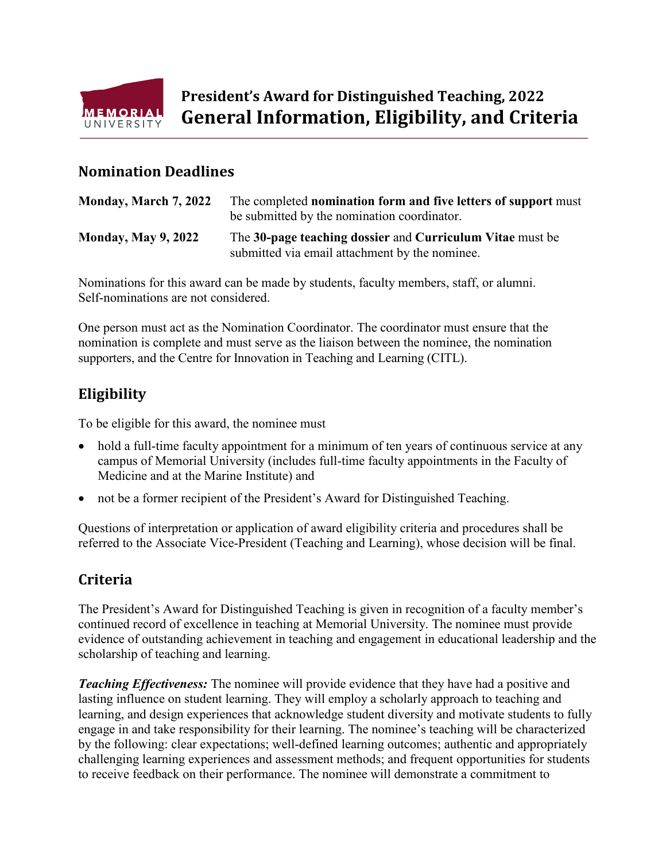

## **Nomination Deadlines**

| Monday, March 7, 2022      | The completed nomination form and five letters of support must<br>be submitted by the nomination coordinator. |
|----------------------------|---------------------------------------------------------------------------------------------------------------|
| <b>Monday, May 9, 2022</b> | The 30-page teaching dossier and Curriculum Vitae must be<br>submitted via email attachment by the nominee.   |

Nominations for this award can be made by students, faculty members, staff, or alumni. Self-nominations are not considered.

One person must act as the Nomination Coordinator. The coordinator must ensure that the nomination is complete and must serve as the liaison between the nominee, the nomination supporters, and the Centre for Innovation in Teaching and Learning (CITL).

# **Eligibility**

To be eligible for this award, the nominee must

- hold a full-time faculty appointment for a minimum of ten years of continuous service at any campus of Memorial University (includes full-time faculty appointments in the Faculty of Medicine and at the Marine Institute) and
- not be a former recipient of the President's Award for Distinguished Teaching.

Questions of interpretation or application of award eligibility criteria and procedures shall be referred to the Associate Vice-President (Teaching and Learning), whose decision will be final.

## **Criteria**

The President's Award for Distinguished Teaching is given in recognition of a faculty member's continued record of excellence in teaching at Memorial University. The nominee must provide evidence of outstanding achievement in teaching and engagement in educational leadership and the scholarship of teaching and learning.

*Teaching Effectiveness:* The nominee will provide evidence that they have had a positive and lasting influence on student learning. They will employ a scholarly approach to teaching and learning, and design experiences that acknowledge student diversity and motivate students to fully engage in and take responsibility for their learning. The nominee's teaching will be characterized by the following: clear expectations; well-defined learning outcomes; authentic and appropriately challenging learning experiences and assessment methods; and frequent opportunities for students to receive feedback on their performance. The nominee will demonstrate a commitment to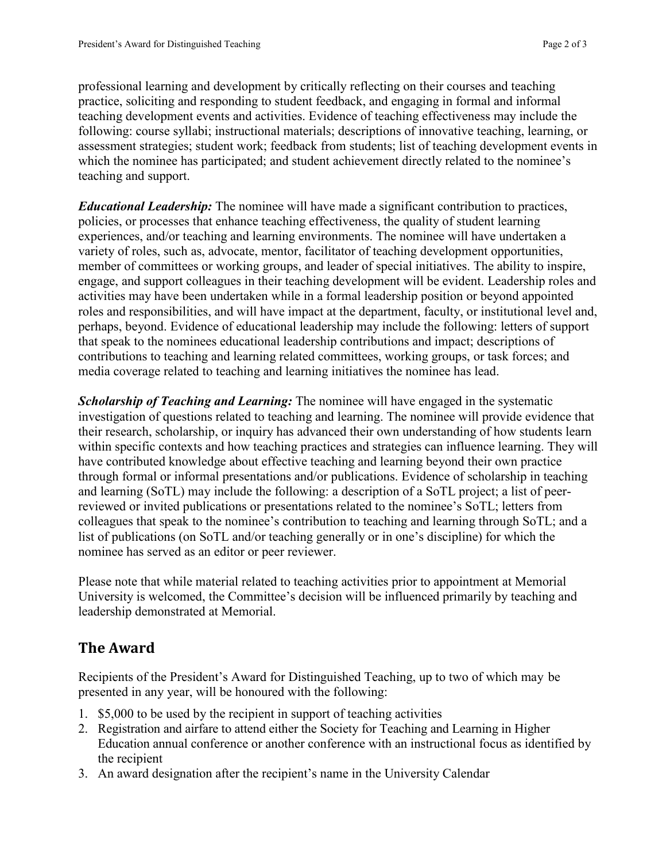professional learning and development by critically reflecting on their courses and teaching practice, soliciting and responding to student feedback, and engaging in formal and informal teaching development events and activities. Evidence of teaching effectiveness may include the following: course syllabi; instructional materials; descriptions of innovative teaching, learning, or assessment strategies; student work; feedback from students; list of teaching development events in which the nominee has participated; and student achievement directly related to the nominee's teaching and support.

*Educational Leadership:* The nominee will have made a significant contribution to practices, policies, or processes that enhance teaching effectiveness, the quality of student learning experiences, and/or teaching and learning environments. The nominee will have undertaken a variety of roles, such as, advocate, mentor, facilitator of teaching development opportunities, member of committees or working groups, and leader of special initiatives. The ability to inspire, engage, and support colleagues in their teaching development will be evident. Leadership roles and activities may have been undertaken while in a formal leadership position or beyond appointed roles and responsibilities, and will have impact at the department, faculty, or institutional level and, perhaps, beyond. Evidence of educational leadership may include the following: letters of support that speak to the nominees educational leadership contributions and impact; descriptions of contributions to teaching and learning related committees, working groups, or task forces; and media coverage related to teaching and learning initiatives the nominee has lead.

*Scholarship of Teaching and Learning:* The nominee will have engaged in the systematic investigation of questions related to teaching and learning. The nominee will provide evidence that their research, scholarship, or inquiry has advanced their own understanding of how students learn within specific contexts and how teaching practices and strategies can influence learning. They will have contributed knowledge about effective teaching and learning beyond their own practice through formal or informal presentations and/or publications. Evidence of scholarship in teaching and learning (SoTL) may include the following: a description of a SoTL project; a list of peerreviewed or invited publications or presentations related to the nominee's SoTL; letters from colleagues that speak to the nominee's contribution to teaching and learning through SoTL; and a list of publications (on SoTL and/or teaching generally or in one's discipline) for which the nominee has served as an editor or peer reviewer.

Please note that while material related to teaching activities prior to appointment at Memorial University is welcomed, the Committee's decision will be influenced primarily by teaching and leadership demonstrated at Memorial.

## **The Award**

Recipients of the President's Award for Distinguished Teaching, up to two of which may be presented in any year, will be honoured with the following:

- 1. \$5,000 to be used by the recipient in support of teaching activities
- 2. Registration and airfare to attend either the Society for Teaching and Learning in Higher Education annual conference or another conference with an instructional focus as identified by the recipient
- 3. An award designation after the recipient's name in the University Calendar